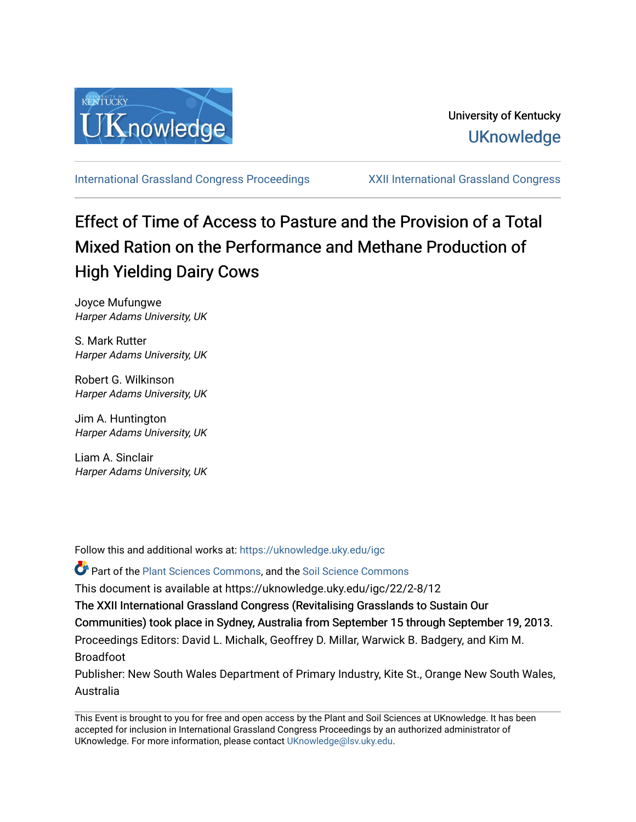

[International Grassland Congress Proceedings](https://uknowledge.uky.edu/igc) [XXII International Grassland Congress](https://uknowledge.uky.edu/igc/22) 

# Effect of Time of Access to Pasture and the Provision of a Total Mixed Ration on the Performance and Methane Production of High Yielding Dairy Cows

Joyce Mufungwe Harper Adams University, UK

S. Mark Rutter Harper Adams University, UK

Robert G. Wilkinson Harper Adams University, UK

Jim A. Huntington Harper Adams University, UK

Liam A. Sinclair Harper Adams University, UK

Follow this and additional works at: [https://uknowledge.uky.edu/igc](https://uknowledge.uky.edu/igc?utm_source=uknowledge.uky.edu%2Figc%2F22%2F2-8%2F12&utm_medium=PDF&utm_campaign=PDFCoverPages)  Part of the [Plant Sciences Commons](http://network.bepress.com/hgg/discipline/102?utm_source=uknowledge.uky.edu%2Figc%2F22%2F2-8%2F12&utm_medium=PDF&utm_campaign=PDFCoverPages), and the [Soil Science Commons](http://network.bepress.com/hgg/discipline/163?utm_source=uknowledge.uky.edu%2Figc%2F22%2F2-8%2F12&utm_medium=PDF&utm_campaign=PDFCoverPages)  This document is available at https://uknowledge.uky.edu/igc/22/2-8/12 The XXII International Grassland Congress (Revitalising Grasslands to Sustain Our Communities) took place in Sydney, Australia from September 15 through September 19, 2013. Proceedings Editors: David L. Michalk, Geoffrey D. Millar, Warwick B. Badgery, and Kim M. Broadfoot Publisher: New South Wales Department of Primary Industry, Kite St., Orange New South Wales, Australia

This Event is brought to you for free and open access by the Plant and Soil Sciences at UKnowledge. It has been accepted for inclusion in International Grassland Congress Proceedings by an authorized administrator of UKnowledge. For more information, please contact [UKnowledge@lsv.uky.edu](mailto:UKnowledge@lsv.uky.edu).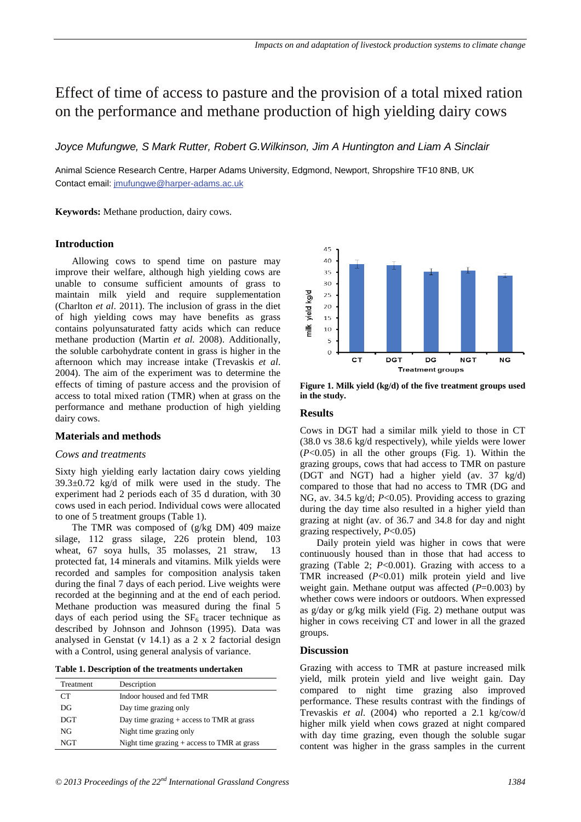# Effect of time of access to pasture and the provision of a total mixed ration on the performance and methane production of high yielding dairy cows

*Joyce Mufungwe, S Mark Rutter, Robert G.Wilkinson, Jim A Huntington and Liam A Sinclair* 

Animal Science Research Centre, Harper Adams University, Edgmond, Newport, Shropshire TF10 8NB, UK Contact email: jmufungwe@harper-adams.ac.uk

**Keywords:** Methane production, dairy cows.

# **Introduction**

Allowing cows to spend time on pasture may improve their welfare, although high yielding cows are unable to consume sufficient amounts of grass to maintain milk yield and require supplementation (Charlton *et al*. 2011). The inclusion of grass in the diet of high yielding cows may have benefits as grass contains polyunsaturated fatty acids which can reduce methane production (Martin *et al.* 2008). Additionally, the soluble carbohydrate content in grass is higher in the afternoon which may increase intake (Trevaskis *et al*. 2004). The aim of the experiment was to determine the effects of timing of pasture access and the provision of access to total mixed ration (TMR) when at grass on the performance and methane production of high yielding dairy cows.

# **Materials and methods**

# *Cows and treatments*

Sixty high yielding early lactation dairy cows yielding 39.3±0.72 kg/d of milk were used in the study. The experiment had 2 periods each of 35 d duration, with 30 cows used in each period. Individual cows were allocated to one of 5 treatment groups (Table 1).

The TMR was composed of (g/kg DM) 409 maize silage, 112 grass silage, 226 protein blend, 103 wheat, 67 soya hulls, 35 molasses, 21 straw, 13 protected fat, 14 minerals and vitamins. Milk yields were recorded and samples for composition analysis taken during the final 7 days of each period. Live weights were recorded at the beginning and at the end of each period. Methane production was measured during the final 5 days of each period using the  $SF<sub>6</sub>$  tracer technique as described by Johnson and Johnson (1995). Data was analysed in Genstat (v 14.1) as a 2 x 2 factorial design with a Control, using general analysis of variance.

| <b>Treatment</b> | Description                                   |  |  |  |
|------------------|-----------------------------------------------|--|--|--|
| CT.              | Indoor housed and fed TMR                     |  |  |  |
| DG               | Day time grazing only                         |  |  |  |
| <b>DGT</b>       | Day time grazing $+$ access to TMR at grass   |  |  |  |
| NG               | Night time grazing only                       |  |  |  |
| <b>NGT</b>       | Night time grazing $+$ access to TMR at grass |  |  |  |



**Figure 1. Milk yield (kg/d) of the five treatment groups used in the study.** 

#### **Results**

Cows in DGT had a similar milk yield to those in CT (38.0 vs 38.6 kg/d respectively), while yields were lower (*P*<0.05) in all the other groups (Fig. 1). Within the grazing groups, cows that had access to TMR on pasture (DGT and NGT) had a higher yield (av. 37 kg/d) compared to those that had no access to TMR (DG and NG, av. 34.5 kg/d; *P*<0.05). Providing access to grazing during the day time also resulted in a higher yield than grazing at night (av. of 36.7 and 34.8 for day and night grazing respectively, *P*<0.05)

Daily protein yield was higher in cows that were continuously housed than in those that had access to grazing (Table 2; *P*<0.001). Grazing with access to a TMR increased (*P*<0.01) milk protein yield and live weight gain. Methane output was affected ( $P=0.003$ ) by whether cows were indoors or outdoors. When expressed as g/day or g/kg milk yield (Fig. 2) methane output was higher in cows receiving CT and lower in all the grazed groups.

# **Discussion**

Grazing with access to TMR at pasture increased milk yield, milk protein yield and live weight gain. Day compared to night time grazing also improved performance. These results contrast with the findings of Trevaskis *et al*. (2004) who reported a 2.1 kg/cow/d higher milk yield when cows grazed at night compared with day time grazing, even though the soluble sugar content was higher in the grass samples in the current